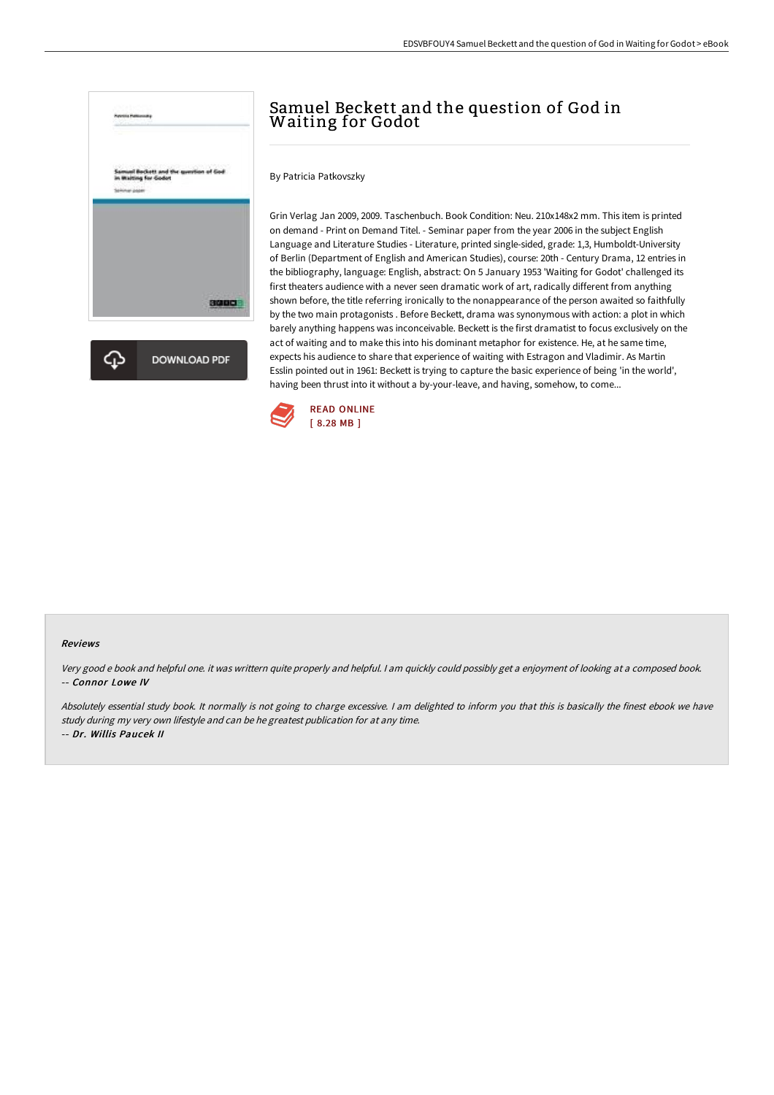

# Samuel Beckett and the question of God in Waiting for Godot

By Patricia Patkovszky

Grin Verlag Jan 2009, 2009. Taschenbuch. Book Condition: Neu. 210x148x2 mm. This item is printed on demand - Print on Demand Titel. - Seminar paper from the year 2006 in the subject English Language and Literature Studies - Literature, printed single-sided, grade: 1,3, Humboldt-University of Berlin (Department of English and American Studies), course: 20th - Century Drama, 12 entries in the bibliography, language: English, abstract: On 5 January 1953 'Waiting for Godot' challenged its first theaters audience with a never seen dramatic work of art, radically different from anything shown before, the title referring ironically to the nonappearance of the person awaited so faithfully by the two main protagonists . Before Beckett, drama was synonymous with action: a plot in which barely anything happens was inconceivable. Beckett is the first dramatist to focus exclusively on the act of waiting and to make this into his dominant metaphor for existence. He, at he same time, expects his audience to share that experience of waiting with Estragon and Vladimir. As Martin Esslin pointed out in 1961: Beckett is trying to capture the basic experience of being 'in the world', having been thrust into it without a by-your-leave, and having, somehow, to come...



#### Reviews

Very good <sup>e</sup> book and helpful one. it was writtern quite properly and helpful. <sup>I</sup> am quickly could possibly get <sup>a</sup> enjoyment of looking at <sup>a</sup> composed book. -- Connor Lowe IV

Absolutely essential study book. It normally is not going to charge excessive. <sup>I</sup> am delighted to inform you that this is basically the finest ebook we have study during my very own lifestyle and can be he greatest publication for at any time. -- Dr. Willis Paucek II